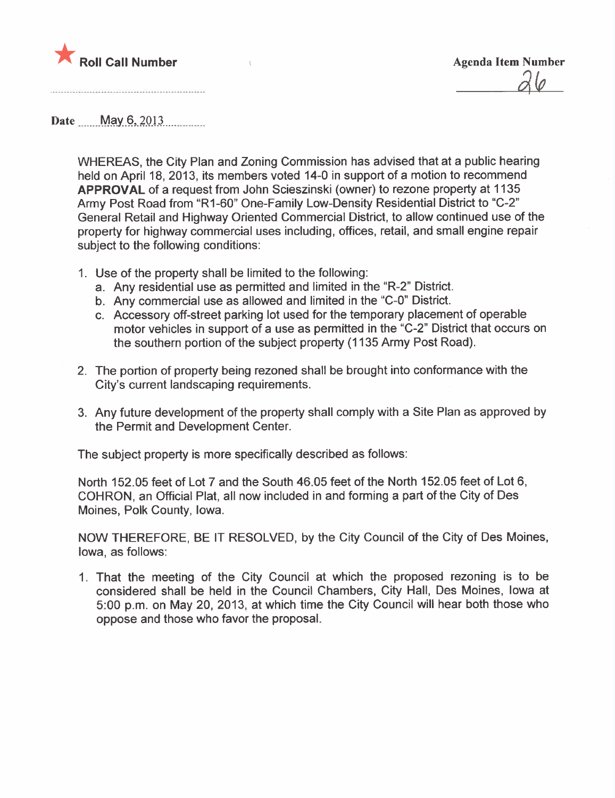

Date <u>May 6, 2013</u>

WHEREAS, the City Plan and Zoning Commission has advised that at a public hearing held on April 18, 2013, its members voted 14-0 in support of a motion to recommend APPROVAL of a request from John Scieszinski (owner) to rezone property at 1135 Army Post Road from "R1-60" One-Family Low-Density Residential District to "C-2" General Retail and Highway Oriented Commercial District, to allow continued use of the property for highway commercial uses including, offices, retail, and small engine repair subject to the following conditions:

- 1. Use of the property shall be limited to the following:
	- a. Any residential use as permitted and limited in the "R-2" District.
	- b. Any commercial use as allowed and limited in the "C-O" District.
	- c. Accessory off-street parking lot used for the temporary placement of operable motor vehicles in support of a use as permitted in the "C-2" District that occurs on the southern portion of the subject property (1135 Army Post Road).
- 2. The portion of property being rezoned shall be brought into conformance with the City's current landscaping requirements.
- 3. Any future development of the property shall comply with a Site Plan as approved by the Permit and Development Center.

The subject property is more specifically described as follows:

North 152.05 feet of Lot 7 and the South 46.05 feet of the North 152.05 feet of Lot 6, COHRON, an Official Plat, all now included in and forming a part of the City of Des Moines, Polk County, Iowa.

NOW THEREFORE, BE IT RESOLVED, by the City Council of the City of Des Moines, Iowa, as follows:

1. That the meeting of the City Council at which the proposed rezoning is to be considered shall be held in the Council Chambers, City Hall, Des Moines, Iowa at 5:00 p.m. on May 20, 2013, at which time the City Council will hear both those who oppose and those who favor the proposaL.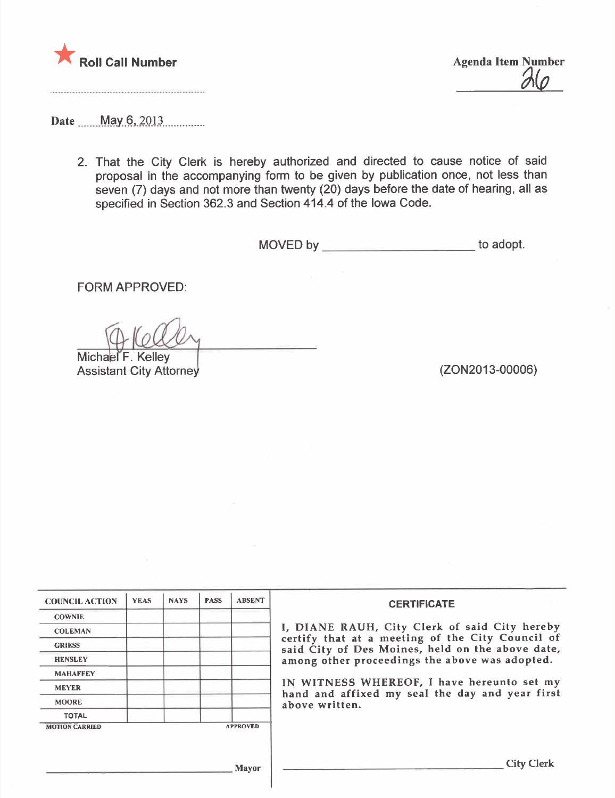

 $\partial Q$ 

Date <u>May 6, 2013</u>

2. That the City Clerk is hereby authorized and directed to cause notice of said proposal in the accompanying form to be given by publication once, not less than seven (7) days and not more than twenty (20) days before the date of hearing, all as specified in Section 362.3 and Section 414.4 of the Iowa Code.

MOVED by \_\_\_\_\_\_\_\_\_\_\_\_\_\_\_\_\_\_\_\_\_\_\_\_\_\_\_ to adopt.

FORM APPROVED:

Michael F. Kelley

Assistant City Attorney (2002013-00006)

| <b>COUNCIL ACTION</b> | <b>YEAS</b> | <b>NAYS</b> | <b>PASS</b> | <b>ABSENT</b>   | <b>CERTIFICATE</b>                                                                                   |  |  |  |  |
|-----------------------|-------------|-------------|-------------|-----------------|------------------------------------------------------------------------------------------------------|--|--|--|--|
| <b>COWNIE</b>         |             |             |             |                 |                                                                                                      |  |  |  |  |
| <b>COLEMAN</b>        |             |             |             |                 | I, DIANE RAUH, City Clerk of said City hereby                                                        |  |  |  |  |
| <b>GRIESS</b>         |             |             |             |                 | certify that at a meeting of the City Council of<br>said City of Des Moines, held on the above date, |  |  |  |  |
| <b>HENSLEY</b>        |             |             |             |                 | among other proceedings the above was adopted.                                                       |  |  |  |  |
| <b>MAHAFFEY</b>       |             |             |             |                 |                                                                                                      |  |  |  |  |
| <b>MEYER</b>          |             |             |             |                 | IN WITNESS WHEREOF, I have hereunto set my<br>hand and affixed my seal the day and year first        |  |  |  |  |
| <b>MOORE</b>          |             |             |             |                 | above written.                                                                                       |  |  |  |  |
| <b>TOTAL</b>          |             |             |             |                 |                                                                                                      |  |  |  |  |
| <b>MOTION CARRIED</b> |             |             |             | <b>APPROVED</b> |                                                                                                      |  |  |  |  |
|                       |             |             |             | Mayor           | <b>City Clerk</b>                                                                                    |  |  |  |  |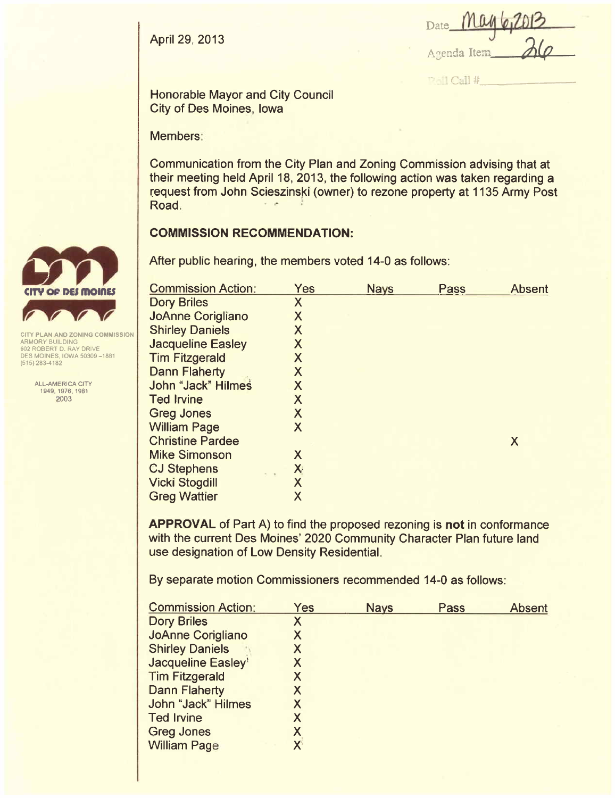April 29, 2013

| Date May 6,2013 |          |
|-----------------|----------|
|                 |          |
| Agenda Item     | $\Delta$ |

-- : ", Call #

Honorable Mayor and City Council City of Des Moines, Iowa

Members:

Communication from the City Plan and Zoning Commission advising that at their meeting held April 18, 2013, the following action was taken regarding a request from John Scieszinski (owner) to rezone property at 1135 Army Post<br>Road.

### **COMMISSION RECOMMENDATION:**

After public hearing, the members voted 14-0 as follows:

| <b>Commission Action:</b> | Yes                     | <b>Nays</b> | Pass | <b>Absent</b> |
|---------------------------|-------------------------|-------------|------|---------------|
| <b>Dory Briles</b>        | X                       |             |      |               |
| <b>JoAnne Corigliano</b>  | X                       |             |      |               |
| <b>Shirley Daniels</b>    | X                       |             |      |               |
| <b>Jacqueline Easley</b>  | X                       |             |      |               |
| <b>Tim Fitzgerald</b>     | X                       |             |      |               |
| <b>Dann Flaherty</b>      | X                       |             |      |               |
| John "Jack" Hilmes        | X                       |             |      |               |
| <b>Ted Irvine</b>         | $\sf X$                 |             |      |               |
| <b>Greg Jones</b>         | X                       |             |      |               |
| <b>William Page</b>       | X                       |             |      |               |
| <b>Christine Pardee</b>   |                         |             |      | X             |
| <b>Mike Simonson</b>      | X                       |             |      |               |
| <b>CJ Stephens</b>        | X                       |             |      |               |
| <b>Vicki Stogdill</b>     | $\overline{\mathsf{X}}$ |             |      |               |
| <b>Greg Wattier</b>       | X                       |             |      |               |
|                           |                         |             |      |               |

APPROVAL of Part A) to find the proposed rezoning is not in conformance with the current Des Moines' 2020 Community Character Plan future land use designation of Low Density ResidentiaL.

By separate motion Commissioners recommended 14-0 as follows:

| <b>Yes</b>   | <b>Nays</b> | Pass | <b>Absent</b> |
|--------------|-------------|------|---------------|
| Χ            |             |      |               |
| X            |             |      |               |
| X            |             |      |               |
| Χ            |             |      |               |
| X            |             |      |               |
| X            |             |      |               |
| Χ            |             |      |               |
| X            |             |      |               |
| X            |             |      |               |
| $\mathsf{X}$ |             |      |               |
|              |             |      |               |



ARMORY BUILDING 602 ROBERT D. RAY DRIVE DES MOINES, IOWA 50309 -1881 (515) 283-4182

> ALL-AMERICA CITY 1949,1976,1981 2003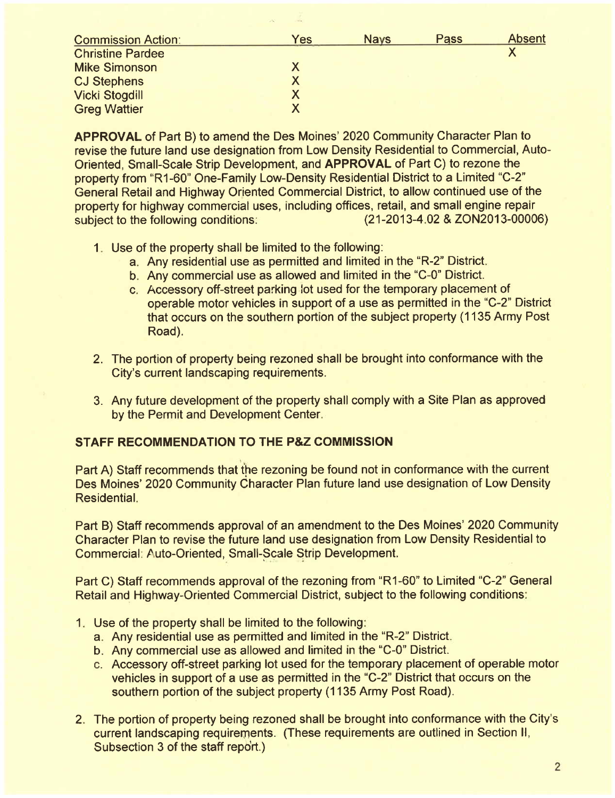| <b>Commission Action:</b> | Yes | <b>Nays</b> | Pass | <b>Absent</b> |
|---------------------------|-----|-------------|------|---------------|
| <b>Christine Pardee</b>   |     |             |      |               |
| <b>Mike Simonson</b>      |     |             |      |               |
| <b>CJ Stephens</b>        |     |             |      |               |
| <b>Vicki Stogdill</b>     | X   |             |      |               |
| <b>Greg Wattier</b>       |     |             |      |               |

APPROVAL of Part B) to amend the Des Moines' 2020 Community Character Plan to revise the future land use designation from Low Density Residential to Commercial, Auto-Oriented, Small-Scale Strip Development, and APPROVAL of Part C) to rezone the property from "R1-60" One-Family Low-Density Residential District to a Limited "C-2" General Retail and Highway Orjented Commercial District, to allow continued use of the property for highway commercial uses, including offices, retail, and small engine repair<br>subject to the following conditions: (21-2013-4.02 & ZON2013-00006) subject to the following conditions:

- 1. Use of the property shall be limited to the following:
	- a. Any residential use as permitted and limited in the "R-2" District.
	- b. Any commercial use as allowed and limited in the "C-0" District.
	- c. Accessory off-street parking.lot used for the temporary placement of operable motor vehicles in support of a use as permitted in the "C-2" District that occurs on the southern portion of the subject property (1135 Army Post Road).
- 2. The portion of property being rezoned shall be brought into conformance with the City's current landscaping requirements.
- 3. Any future development of the property shall comply with a Site Plan as approved by the Permit and Development Center.

# STAFF RECOMMENDATION TO THE P&Z COMMISSION

Part A) Staff recommends that the rezoning be found not in conformance with the current Des Moines' 2020 Community Character Plan future land use designation of Low Density ResidentiaL.

Part B) Staff recommends approval of an amendment to the Des Moines' 2020 Community Character Plan to revise the future land use designation from Low Density Residential to Commercial: Auto-Oriented, Small-Scale Strip Development.

Part C) Staff recommends approval of the rezoning from "R 1-60" to Limited "C-2" General Retail and Highway-Oriented Commercial District, subject to the following conditions:

- 1. Use of the property shall be limited to the following:
	- a. Any residential use as permitted and limited in the "R-2" District.
	- b. Any commercial use as allowed and limited in the "C-O" District.
	- c. Accessory off-street parking lot used for the temporary placement of operable motor vehicles in support of a use as permitted in the "C-2" District that occurs on the southern portion of the subject property (1135 Army Post Road).
- 2. The portion of property being rezoned shall be brought into conformance with the City's current landscaping requirements. (These requirements are outlined in Section II, Subsection 3 of the staff report.)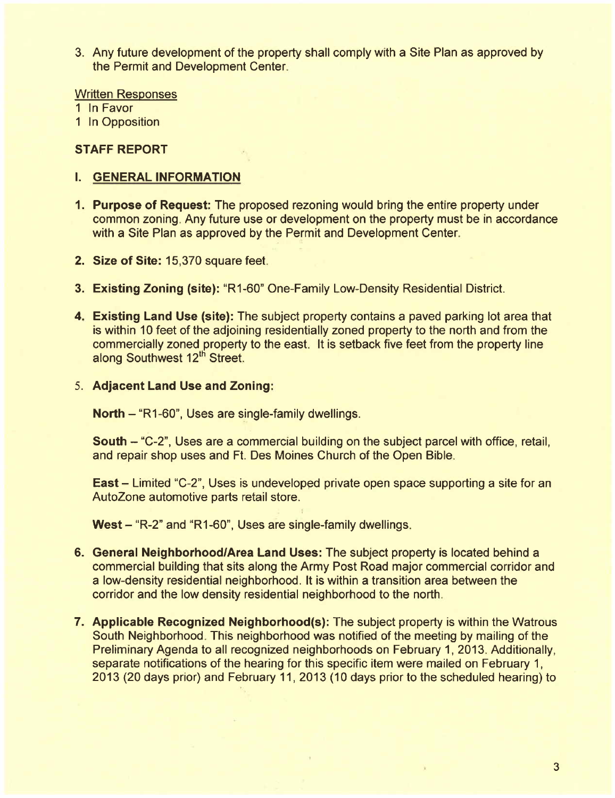3. Any future development of the property shall comply with a Site Plan as approved by the Permit and Development Center.

Written Responses

1 In Favor

1 In Opposition

### STAFF REPORT

### i. GENERAL INFORMATION

- 1. Purpose of Request: The proposed rezoning would bring the entire property under common zoning. Any future use or development on the property must be in accordance with a Site Plan as approved by the Permit and Development Center.
- 2. Size of Site: 15,370 square feet.
- 3. Existing Zoning (site): "R1-60" One-Family Low-Density Residential District.
- 4. Existing Land Use (site): The subject property contains a paved parking lot area that is within 10 feet of the adjoining residentially zoned property to the north and from the commercially zoned property to the east. It is setback five feet from the property line along Southwest 12<sup>th</sup> Street.
- 5. Adjacent Land Use and Zoning:

North  $-$  "R1-60", Uses are single-family dwellings.

South - "C-2", Uses are a commercial building on the subject parcel with office, retail, and repair shop uses and Ft. Des Moines Church of the Open Bible.

East - Limited "C-2", Uses is undeveloped private open space supporting a site for an AutoZone automotive parts retail store.

West - "R-2" and "R1-60", Uses are single-family dwellings.

- 6. General Neighborhood/Area Land Uses: The subject property is located behind a commercial building that sits along the Army Post Road major commercial corridor and a low-density residential neighborhood. It is within a transition area between the corridor and the low density residential neighborhood to the north.
- 7. Applicable Recognized Neighborhood(s): The subject property is within the Watrous South Neighborhood. This neighborhood was notified of the meeting by mailing of the Preliminary Agenda to all recognized neighborhoods on February 1, 2013. Additionally, separate notifications of the hearing for this specific item were mailed on February 1, 2013 (20 days prior) and February 11, 2013 (10 days prior to the scheduled hearing) to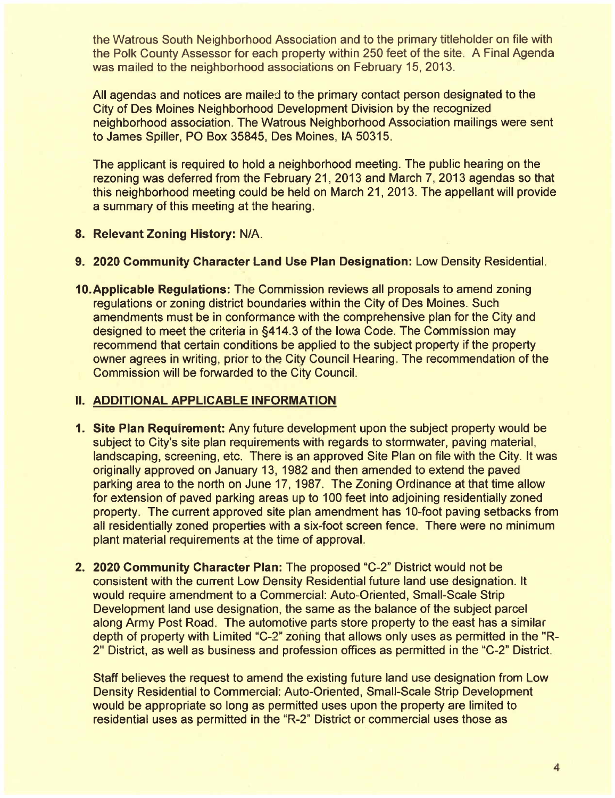the Watrous South Neighborhood Association and to the primary titleholder on file with the Polk County Assessor for each property within 250 feet of the site. A Final Agenda was mailed to the neighborhood associations on February 15, 2013.

All agendas and notices are mailed to the primary contact person designated to the City of Des Moines Neighborhood Development Division by the recognized neighborhood association. The Watrous Neighborhood Association mailings were sent to James Spiller, PO Box 35845, Des Moines, IA 50315.

The applicant is required to hold a neighborhood meeting. The public hearing on the rezoning was deferred from the February 21,2013 and March 7, 2013 agendas so that this neighborhood meeting could be held on March 21, 2013. The appellant will provide a summary of this meeting at the hearing.

### 8. Relevant Zoning History: N/A.

- 9. 2020 Community Character Land Use Plan Designation: Low Density Residential.
- 10.Applicable Regulations: The Commission reviews all proposals to amend zoning regulations or zoning district boundaries within the City of Des Moines. Such amendments must be in conformance with the comprehensive plan for the City and designed to meet the criteria in §414.3 of the Iowa Code. The Commission may recommend that certain conditions be applied to the subject property if the property owner agrees in writing, prior to the City Council Hearing. The recommendation of the Commission will be forwarded to the City CounciL.

### II. ADDITIONAL APPLICABLE INFORMATION

- 1. Site Plan Requirement: Any future development upon the subject property would be subject to City's site plan requirements with regards to stormwater, paving material, landscaping, screening, etc. There is an approved Site Plan on file with the City. It was originally approved on January 13, 1982 and then amended to extend the paved parking area to the north on June 17, 1987. The Zoning Ordinance at that time allow for extension of paved parking areas up to 100 feet into adjoining residentially zoned property. The current approved site plan amendment has 10-foot paving setbacks from all residentially zoned properties with a six-foot screen fence. There were no minimum plant material requirements at the time of approvaL.
- 2. 2020 Community Character Plan: The proposed "C-2" District would not be consistent with the current Low Density Residential future land use designation. It would require amendment to a Commercial: Auto-Oriented, Small-Scale Strip Development land use designation, the same as the balance of the subject parcel along Army Post Road. The automotive parts store property to the east has a similar depth of property with Limited "C\_2" zoning that allows only uses as permitted in the "R-2" District, as well as business and profession offices as permitted in the "C-2" District.

Staff believes the request to amend the existing future land use designation from Low Density Residential to Commercial: Auto-Oriented, Small-Scale Strip Development would be appropriate so long as permitted uses upon the property are limited to residential uses as permitted in the "R-2" District or commercial uses those as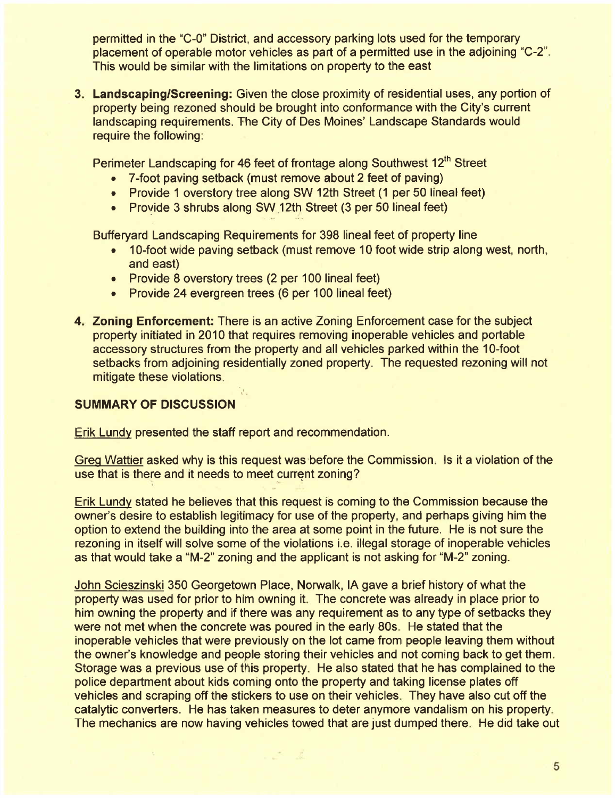permitted in the "C\_O" District, and accessory parking lots used for the temporary placement of operable motor vehicles as part of a permitted use in the adjoining "C-2". This would be similar with the limitations on property to the east

3. Landscaping/Screening: Given the close proximity of residential uses, any portion of property being rezoned should be brought into conformance with the City's current landscaping requirements. The City of Des Moines' Landscape Standards would require the following:

Perimeter Landscaping for 46 feet of frontage along Southwest 12<sup>th</sup> Street

- . 7 -foot paving setback (must remove about 2 feet of paving)
- . Provide 1 overstory tree along SW 12th Street (1 per 50 lineal feet)
- Provide 3 shrubs along SW 12th Street (3 per 50 lineal feet)

Bufferyard Landscaping Requirements for 398 lineal feet of property line

- . 1 O-foot wide paving setback (must remove 10 foot wide strip along west, north, and east)
- . Provide 8 overstory trees (2 per 100 lineal feet)
- . Provide 24 evergreen trees (6 per 100 lineal feet)
- 4. Zoning Enforcement: There is an active Zoning Enforcement case for the subject property initiated in 2010 that requires removing inoperable vehicles and portable accessory structures from the property and all vehicles parked within the 10-foot setbacks from adjoining residentially zoned property. The requested rezoning will not mitigate these violations.

## SUMMARY OF DISCUSSION

Erik Lundy presented the staff report and recommendation.

 $\mathcal{O}(\epsilon)$ 

Greg Wattier asked why is this request was before the Commission. Is it a violation of the use that is there and it needs to meet current zoning?

Erik Lundy stated he believes that this request is coming to the Commission because the owner's desire to establish legitimacy for use of the property, and perhaps giving him the option to extend the building into the area at some point in the future. He is not sure the rezoning in itself will solve some of the violations i.e. illegal storage of inoperable vehicles as that would take a "M-2" zoning and the applicant is not asking for "M-2" zoning.

John Scieszinski 350 Georgetown Place, Norwalk, IA gave a brief history of what the property was used for prior to him owning it. The concrete was already in place prior to him owning the property and if there was any requirement as to any type of setbacks they were not met when the concrete was poured in the early 80s. He stated that the inoperable vehicles that were previously on the lot came from people leaving them without the owner's knowledge and people storing their vehicles and not coming back to get them. Storage was a previous use of this property. He also stated that he has complained to the police department about kids coming onto the property and taking license plates off vehicles and scraping off the stickers to use on their vehicles. They have also cut off the catalytic converters. He has taken measures to deter anymore vandalism on his property. The mechanics are now having vehicles towed that are just dumped there. He did take out

 $\mathcal{Z}^{\mathcal{A}}$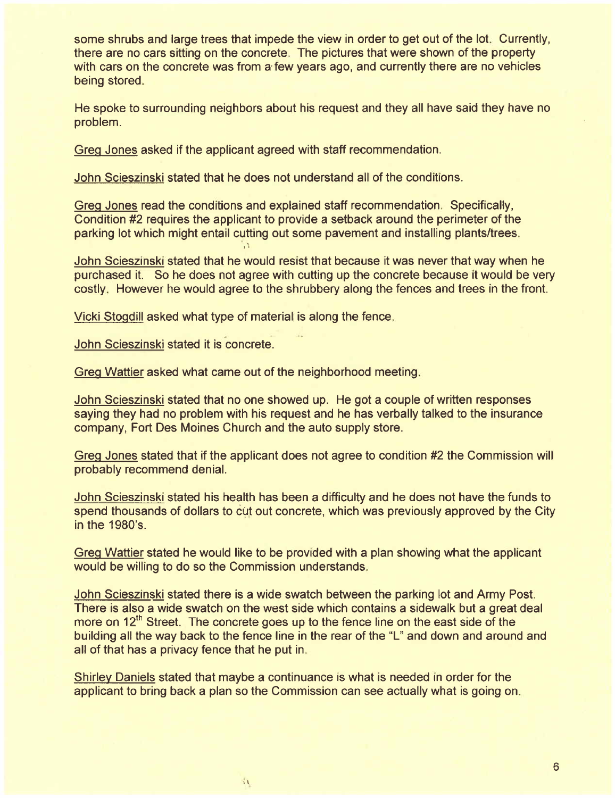some shrubs and large trees that impede the view in order to get out of the lot. Currently, there are no cars sitting on the concrete. The pictures that were shown of the property with cars on the concrete was from a few years ago, and currently there are no vehicles being stored.

He spoke to surrounding neighbors about his request and they all have said they have no problem.

Greo Jones asked if the applicant agreed with staff recommendation.

John Scieszinski stated that he does not understand all of the conditions.

Greo Jones read the conditions and explained staff recommendation. Specifically, Condition #2 requires the applicant to provide a setback around the perimeter of the parking lot which might entail cutting out some pavement and installing plants/trees.

John Scieszinski stated that he would resist that because it was never that way when he purchased it. So he does not agree with cutting up the concrete because it would be very costly. However he would agree to the shrubbery along the fences and trees in the front.

Vicki Stoodill asked what type of material is along the fence.

John Scieszinski stated it is concrete.

Greg Wattier asked what came out of the neighborhood meeting.

1 ¡ .

John Scieszinski stated that no one showed up. He got a couple of written responses saying they had no problem with his request and he has verbally talked to the insurance company, Fort Des Moines Church and the auto supply store.

Greg Jones stated that if the applicant does not agree to condition #2 the Commission will probably recommend deniaL.

John Scieszinski stated his health has been a difficulty and he does not have the funds to spend thousands of dollars to cut out concrete, which was previously approved by the City in the 1980's.

Greg Wattier stated he would like to be provided with a plan showing what the applicant would be willing to do so the Commission understands.

John Scieszinski stated there is a wide swatch between the parking lot and Army Post. There is also a wide swatch on the west side which contains a sidewalk but a great deal more on  $12<sup>th</sup>$  Street. The concrete goes up to the fence line on the east side of the building all the way back to the fence line in the rear of the "L" and down and around and all of that has a privacy fence that he put in.

Shirley Daniels stated that maybe a continuance is what is needed in order for the applicant to bring back a plan so the Commission can see actually what is going on.